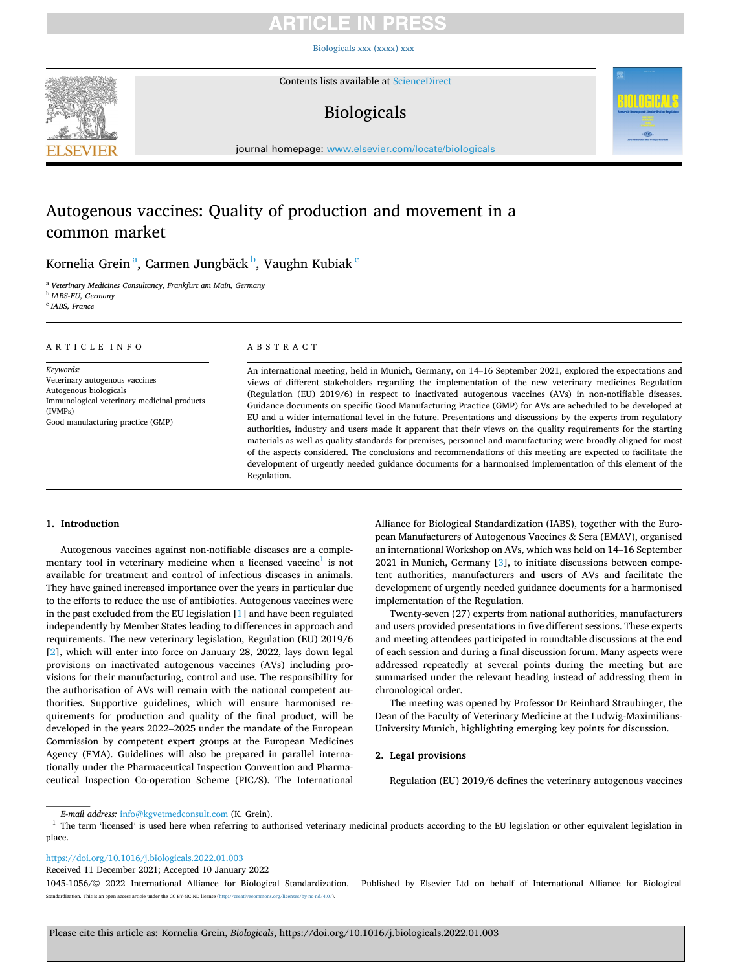# TICLE IN PRE

[Biologicals xxx \(xxxx\) xxx](https://doi.org/10.1016/j.biologicals.2022.01.003)



Contents lists available at [ScienceDirect](www.sciencedirect.com/science/journal/10451056)

# Biologicals



journal homepage: [www.elsevier.com/locate/biologicals](https://www.elsevier.com/locate/biologicals) 

# Autogenous vaccines: Quality of production and movement in a common market

### Kornelia Grein<sup>a</sup>, Carmen Jungbäck<sup>b</sup>, Vaughn Kubiak<sup>c</sup>

<sup>a</sup> *Veterinary Medicines Consultancy, Frankfurt am Main, Germany* 

<sup>b</sup> *IABS-EU, Germany* 

<sup>c</sup> *IABS, France* 

#### ARTICLE INFO

*Keywords:*  Veterinary autogenous vaccines Autogenous biologicals Immunological veterinary medicinal products (IVMPs) Good manufacturing practice (GMP)

### ABSTRACT

An international meeting, held in Munich, Germany, on 14–16 September 2021, explored the expectations and views of different stakeholders regarding the implementation of the new veterinary medicines Regulation (Regulation (EU) 2019/6) in respect to inactivated autogenous vaccines (AVs) in non-notifiable diseases. Guidance documents on specific Good Manufacturing Practice (GMP) for AVs are acheduled to be developed at EU and a wider international level in the future. Presentations and discussions by the experts from regulatory authorities, industry and users made it apparent that their views on the quality requirements for the starting materials as well as quality standards for premises, personnel and manufacturing were broadly aligned for most of the aspects considered. The conclusions and recommendations of this meeting are expected to facilitate the development of urgently needed guidance documents for a harmonised implementation of this element of the Regulation.

### **1. Introduction**

Autogenous vaccines against non-notifiable diseases are a complementary tool in veterinary medicine when a licensed vaccine<sup>1</sup> is not available for treatment and control of infectious diseases in animals. They have gained increased importance over the years in particular due to the efforts to reduce the use of antibiotics. Autogenous vaccines were in the past excluded from the EU legislation [[1](#page-5-0)] and have been regulated independently by Member States leading to differences in approach and requirements. The new veterinary legislation, Regulation (EU) 2019/6 [[2](#page-5-0)], which will enter into force on January 28, 2022, lays down legal provisions on inactivated autogenous vaccines (AVs) including provisions for their manufacturing, control and use. The responsibility for the authorisation of AVs will remain with the national competent authorities. Supportive guidelines, which will ensure harmonised requirements for production and quality of the final product, will be developed in the years 2022–2025 under the mandate of the European Commission by competent expert groups at the European Medicines Agency (EMA). Guidelines will also be prepared in parallel internationally under the Pharmaceutical Inspection Convention and Pharmaceutical Inspection Co-operation Scheme (PIC/S). The International Alliance for Biological Standardization (IABS), together with the European Manufacturers of Autogenous Vaccines & Sera (EMAV), organised an international Workshop on AVs, which was held on 14–16 September 2021 in Munich, Germany [\[3\]](#page-5-0), to initiate discussions between competent authorities, manufacturers and users of AVs and facilitate the development of urgently needed guidance documents for a harmonised implementation of the Regulation.

Twenty-seven (27) experts from national authorities, manufacturers and users provided presentations in five different sessions. These experts and meeting attendees participated in roundtable discussions at the end of each session and during a final discussion forum. Many aspects were addressed repeatedly at several points during the meeting but are summarised under the relevant heading instead of addressing them in chronological order.

The meeting was opened by Professor Dr Reinhard Straubinger, the Dean of the Faculty of Veterinary Medicine at the Ludwig-Maximilians-University Munich, highlighting emerging key points for discussion.

### **2. Legal provisions**

Regulation (EU) 2019/6 defines the veterinary autogenous vaccines

<https://doi.org/10.1016/j.biologicals.2022.01.003>

*E-mail address:* [info@kgvetmedconsult.com](mailto:info@kgvetmedconsult.com) (K. Grein). 1 The term are used to the EU legislation or other equivalent legislation in place.

Received 11 December 2021; Accepted 10 January 2022

<sup>1045-1056/© 2022</sup> International Alliance for Biological Standardization. Published by Elsevier Ltd on behalf of International Alliance for Biological Standardization. This is an open access article under the CC BY-NC-ND license([http://creativecommons.org/licenses/by-nc-nd/4.0/\)](http://creativecommons.org/licenses/by-nc-nd/4.0/).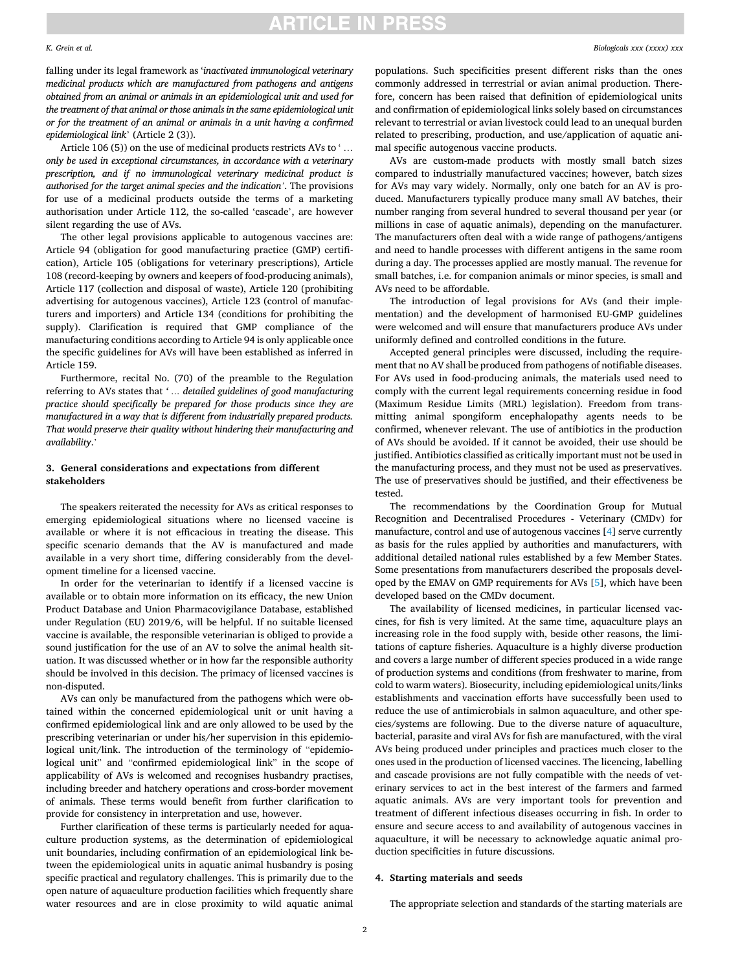#### *K. Grein et al.*

falling under its legal framework as '*inactivated immunological veterinary medicinal products which are manufactured from pathogens and antigens obtained from an animal or animals in an epidemiological unit and used for the treatment of that animal or those animals in the same epidemiological unit or for the treatment of an animal or animals in a unit having a confirmed epidemiological link*' (Article 2 (3)).

Article 106 (5)) on the use of medicinal products restricts AVs to '... *only be used in exceptional circumstances, in accordance with a veterinary prescription, and if no immunological veterinary medicinal product is authorised for the target animal species and the indication'*. The provisions for use of a medicinal products outside the terms of a marketing authorisation under Article 112, the so-called 'cascade', are however silent regarding the use of AVs.

The other legal provisions applicable to autogenous vaccines are: Article 94 (obligation for good manufacturing practice (GMP) certification), Article 105 (obligations for veterinary prescriptions), Article 108 (record-keeping by owners and keepers of food-producing animals), Article 117 (collection and disposal of waste), Article 120 (prohibiting advertising for autogenous vaccines), Article 123 (control of manufacturers and importers) and Article 134 (conditions for prohibiting the supply). Clarification is required that GMP compliance of the manufacturing conditions according to Article 94 is only applicable once the specific guidelines for AVs will have been established as inferred in Article 159.

Furthermore, recital No. (70) of the preamble to the Regulation referring to AVs states that *' … detailed guidelines of good manufacturing practice should specifically be prepared for those products since they are manufactured in a way that is different from industrially prepared products. That would preserve their quality without hindering their manufacturing and availability*.'

### **3. General considerations and expectations from different stakeholders**

The speakers reiterated the necessity for AVs as critical responses to emerging epidemiological situations where no licensed vaccine is available or where it is not efficacious in treating the disease. This specific scenario demands that the AV is manufactured and made available in a very short time, differing considerably from the development timeline for a licensed vaccine.

In order for the veterinarian to identify if a licensed vaccine is available or to obtain more information on its efficacy, the new Union Product Database and Union Pharmacovigilance Database, established under Regulation (EU) 2019/6, will be helpful. If no suitable licensed vaccine is available, the responsible veterinarian is obliged to provide a sound justification for the use of an AV to solve the animal health situation. It was discussed whether or in how far the responsible authority should be involved in this decision. The primacy of licensed vaccines is non-disputed.

AVs can only be manufactured from the pathogens which were obtained within the concerned epidemiological unit or unit having a confirmed epidemiological link and are only allowed to be used by the prescribing veterinarian or under his/her supervision in this epidemiological unit/link. The introduction of the terminology of "epidemiological unit" and "confirmed epidemiological link" in the scope of applicability of AVs is welcomed and recognises husbandry practises, including breeder and hatchery operations and cross-border movement of animals. These terms would benefit from further clarification to provide for consistency in interpretation and use, however.

Further clarification of these terms is particularly needed for aquaculture production systems, as the determination of epidemiological unit boundaries, including confirmation of an epidemiological link between the epidemiological units in aquatic animal husbandry is posing specific practical and regulatory challenges. This is primarily due to the open nature of aquaculture production facilities which frequently share water resources and are in close proximity to wild aquatic animal

populations. Such specificities present different risks than the ones commonly addressed in terrestrial or avian animal production. Therefore, concern has been raised that definition of epidemiological units and confirmation of epidemiological links solely based on circumstances relevant to terrestrial or avian livestock could lead to an unequal burden related to prescribing, production, and use/application of aquatic animal specific autogenous vaccine products.

AVs are custom-made products with mostly small batch sizes compared to industrially manufactured vaccines; however, batch sizes for AVs may vary widely. Normally, only one batch for an AV is produced. Manufacturers typically produce many small AV batches, their number ranging from several hundred to several thousand per year (or millions in case of aquatic animals), depending on the manufacturer. The manufacturers often deal with a wide range of pathogens/antigens and need to handle processes with different antigens in the same room during a day. The processes applied are mostly manual. The revenue for small batches, i.e. for companion animals or minor species, is small and AVs need to be affordable.

The introduction of legal provisions for AVs (and their implementation) and the development of harmonised EU-GMP guidelines were welcomed and will ensure that manufacturers produce AVs under uniformly defined and controlled conditions in the future.

Accepted general principles were discussed, including the requirement that no AV shall be produced from pathogens of notifiable diseases. For AVs used in food-producing animals, the materials used need to comply with the current legal requirements concerning residue in food (Maximum Residue Limits (MRL) legislation). Freedom from transmitting animal spongiform encephalopathy agents needs to be confirmed, whenever relevant. The use of antibiotics in the production of AVs should be avoided. If it cannot be avoided, their use should be justified. Antibiotics classified as critically important must not be used in the manufacturing process, and they must not be used as preservatives. The use of preservatives should be justified, and their effectiveness be tested.

The recommendations by the Coordination Group for Mutual Recognition and Decentralised Procedures - Veterinary (CMDv) for manufacture, control and use of autogenous vaccines [[4](#page-5-0)] serve currently as basis for the rules applied by authorities and manufacturers, with additional detailed national rules established by a few Member States. Some presentations from manufacturers described the proposals developed by the EMAV on GMP requirements for AVs [[5](#page-5-0)], which have been developed based on the CMDv document.

The availability of licensed medicines, in particular licensed vaccines, for fish is very limited. At the same time, aquaculture plays an increasing role in the food supply with, beside other reasons, the limitations of capture fisheries. Aquaculture is a highly diverse production and covers a large number of different species produced in a wide range of production systems and conditions (from freshwater to marine, from cold to warm waters). Biosecurity, including epidemiological units/links establishments and vaccination efforts have successfully been used to reduce the use of antimicrobials in salmon aquaculture, and other species/systems are following. Due to the diverse nature of aquaculture, bacterial, parasite and viral AVs for fish are manufactured, with the viral AVs being produced under principles and practices much closer to the ones used in the production of licensed vaccines. The licencing, labelling and cascade provisions are not fully compatible with the needs of veterinary services to act in the best interest of the farmers and farmed aquatic animals. AVs are very important tools for prevention and treatment of different infectious diseases occurring in fish. In order to ensure and secure access to and availability of autogenous vaccines in aquaculture, it will be necessary to acknowledge aquatic animal production specificities in future discussions.

### **4. Starting materials and seeds**

The appropriate selection and standards of the starting materials are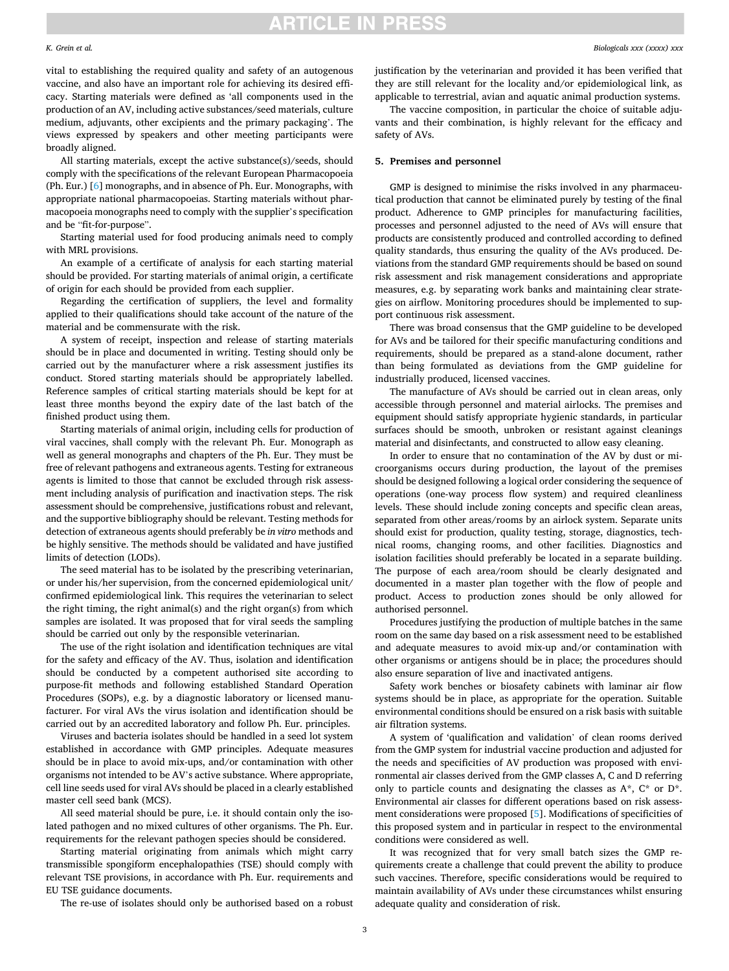#### *K. Grein et al.*

vital to establishing the required quality and safety of an autogenous

vaccine, and also have an important role for achieving its desired efficacy. Starting materials were defined as 'all components used in the production of an AV, including active substances/seed materials, culture medium, adjuvants, other excipients and the primary packaging'. The views expressed by speakers and other meeting participants were broadly aligned.

All starting materials, except the active substance(s)/seeds, should comply with the specifications of the relevant European Pharmacopoeia (Ph. Eur.) [\[6\]](#page-5-0) monographs, and in absence of Ph. Eur. Monographs, with appropriate national pharmacopoeias. Starting materials without pharmacopoeia monographs need to comply with the supplier's specification and be "fit-for-purpose".

Starting material used for food producing animals need to comply with MRL provisions.

An example of a certificate of analysis for each starting material should be provided. For starting materials of animal origin, a certificate of origin for each should be provided from each supplier.

Regarding the certification of suppliers, the level and formality applied to their qualifications should take account of the nature of the material and be commensurate with the risk.

A system of receipt, inspection and release of starting materials should be in place and documented in writing. Testing should only be carried out by the manufacturer where a risk assessment justifies its conduct. Stored starting materials should be appropriately labelled. Reference samples of critical starting materials should be kept for at least three months beyond the expiry date of the last batch of the finished product using them.

Starting materials of animal origin, including cells for production of viral vaccines, shall comply with the relevant Ph. Eur. Monograph as well as general monographs and chapters of the Ph. Eur. They must be free of relevant pathogens and extraneous agents. Testing for extraneous agents is limited to those that cannot be excluded through risk assessment including analysis of purification and inactivation steps. The risk assessment should be comprehensive, justifications robust and relevant, and the supportive bibliography should be relevant. Testing methods for detection of extraneous agents should preferably be *in vitro* methods and be highly sensitive. The methods should be validated and have justified limits of detection (LODs).

The seed material has to be isolated by the prescribing veterinarian, or under his/her supervision, from the concerned epidemiological unit/ confirmed epidemiological link. This requires the veterinarian to select the right timing, the right animal(s) and the right organ(s) from which samples are isolated. It was proposed that for viral seeds the sampling should be carried out only by the responsible veterinarian.

The use of the right isolation and identification techniques are vital for the safety and efficacy of the AV. Thus, isolation and identification should be conducted by a competent authorised site according to purpose-fit methods and following established Standard Operation Procedures (SOPs), e.g. by a diagnostic laboratory or licensed manufacturer. For viral AVs the virus isolation and identification should be carried out by an accredited laboratory and follow Ph. Eur. principles.

Viruses and bacteria isolates should be handled in a seed lot system established in accordance with GMP principles. Adequate measures should be in place to avoid mix-ups, and/or contamination with other organisms not intended to be AV's active substance. Where appropriate, cell line seeds used for viral AVs should be placed in a clearly established master cell seed bank (MCS).

All seed material should be pure, i.e. it should contain only the isolated pathogen and no mixed cultures of other organisms. The Ph. Eur. requirements for the relevant pathogen species should be considered.

Starting material originating from animals which might carry transmissible spongiform encephalopathies (TSE) should comply with relevant TSE provisions, in accordance with Ph. Eur. requirements and EU TSE guidance documents.

The re-use of isolates should only be authorised based on a robust

justification by the veterinarian and provided it has been verified that they are still relevant for the locality and/or epidemiological link, as applicable to terrestrial, avian and aquatic animal production systems.

The vaccine composition, in particular the choice of suitable adjuvants and their combination, is highly relevant for the efficacy and safety of AVs.

### **5. Premises and personnel**

GMP is designed to minimise the risks involved in any pharmaceutical production that cannot be eliminated purely by testing of the final product. Adherence to GMP principles for manufacturing facilities, processes and personnel adjusted to the need of AVs will ensure that products are consistently produced and controlled according to defined quality standards, thus ensuring the quality of the AVs produced. Deviations from the standard GMP requirements should be based on sound risk assessment and risk management considerations and appropriate measures, e.g. by separating work banks and maintaining clear strategies on airflow. Monitoring procedures should be implemented to support continuous risk assessment.

There was broad consensus that the GMP guideline to be developed for AVs and be tailored for their specific manufacturing conditions and requirements, should be prepared as a stand-alone document, rather than being formulated as deviations from the GMP guideline for industrially produced, licensed vaccines.

The manufacture of AVs should be carried out in clean areas, only accessible through personnel and material airlocks. The premises and equipment should satisfy appropriate hygienic standards, in particular surfaces should be smooth, unbroken or resistant against cleanings material and disinfectants, and constructed to allow easy cleaning.

In order to ensure that no contamination of the AV by dust or microorganisms occurs during production, the layout of the premises should be designed following a logical order considering the sequence of operations (one-way process flow system) and required cleanliness levels. These should include zoning concepts and specific clean areas, separated from other areas/rooms by an airlock system. Separate units should exist for production, quality testing, storage, diagnostics, technical rooms, changing rooms, and other facilities. Diagnostics and isolation facilities should preferably be located in a separate building. The purpose of each area/room should be clearly designated and documented in a master plan together with the flow of people and product. Access to production zones should be only allowed for authorised personnel.

Procedures justifying the production of multiple batches in the same room on the same day based on a risk assessment need to be established and adequate measures to avoid mix-up and/or contamination with other organisms or antigens should be in place; the procedures should also ensure separation of live and inactivated antigens.

Safety work benches or biosafety cabinets with laminar air flow systems should be in place, as appropriate for the operation. Suitable environmental conditions should be ensured on a risk basis with suitable air filtration systems.

A system of 'qualification and validation' of clean rooms derived from the GMP system for industrial vaccine production and adjusted for the needs and specificities of AV production was proposed with environmental air classes derived from the GMP classes A, C and D referring only to particle counts and designating the classes as A\*, C\* or D\*. Environmental air classes for different operations based on risk assessment considerations were proposed [\[5\]](#page-5-0). Modifications of specificities of this proposed system and in particular in respect to the environmental conditions were considered as well.

It was recognized that for very small batch sizes the GMP requirements create a challenge that could prevent the ability to produce such vaccines. Therefore, specific considerations would be required to maintain availability of AVs under these circumstances whilst ensuring adequate quality and consideration of risk.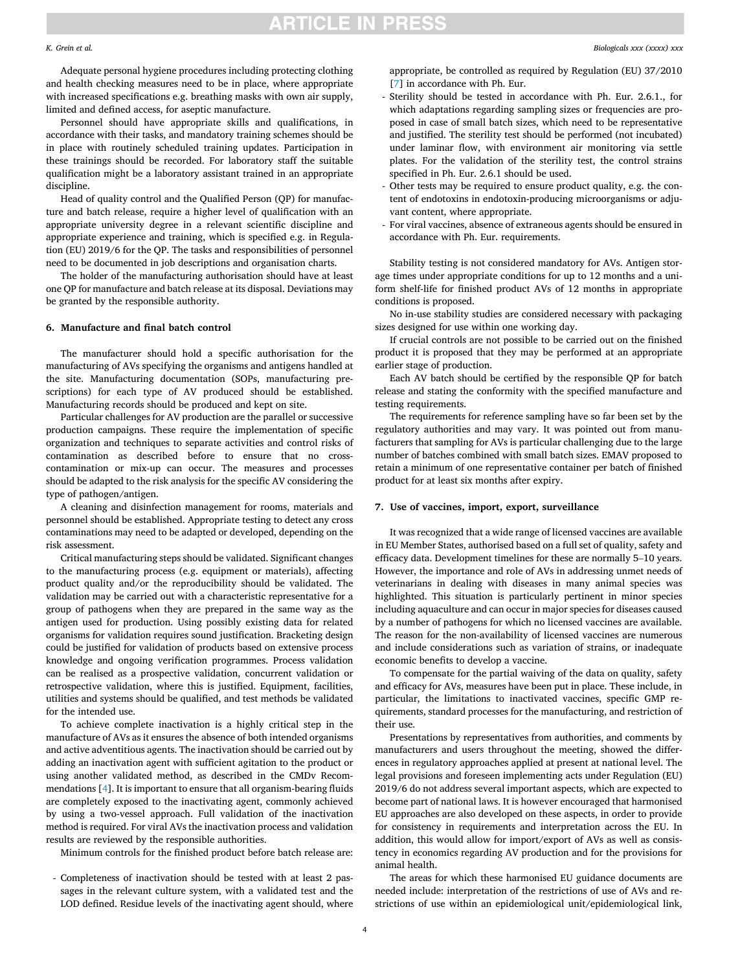Adequate personal hygiene procedures including protecting clothing and health checking measures need to be in place, where appropriate with increased specifications e.g. breathing masks with own air supply, limited and defined access, for aseptic manufacture.

*K. Grein et al.* 

Personnel should have appropriate skills and qualifications, in accordance with their tasks, and mandatory training schemes should be in place with routinely scheduled training updates. Participation in these trainings should be recorded. For laboratory staff the suitable qualification might be a laboratory assistant trained in an appropriate discipline.

Head of quality control and the Qualified Person (QP) for manufacture and batch release, require a higher level of qualification with an appropriate university degree in a relevant scientific discipline and appropriate experience and training, which is specified e.g. in Regulation (EU) 2019/6 for the QP. The tasks and responsibilities of personnel need to be documented in job descriptions and organisation charts.

The holder of the manufacturing authorisation should have at least one QP for manufacture and batch release at its disposal. Deviations may be granted by the responsible authority.

### **6. Manufacture and final batch control**

The manufacturer should hold a specific authorisation for the manufacturing of AVs specifying the organisms and antigens handled at the site. Manufacturing documentation (SOPs, manufacturing prescriptions) for each type of AV produced should be established. Manufacturing records should be produced and kept on site.

Particular challenges for AV production are the parallel or successive production campaigns. These require the implementation of specific organization and techniques to separate activities and control risks of contamination as described before to ensure that no crosscontamination or mix-up can occur. The measures and processes should be adapted to the risk analysis for the specific AV considering the type of pathogen/antigen.

A cleaning and disinfection management for rooms, materials and personnel should be established. Appropriate testing to detect any cross contaminations may need to be adapted or developed, depending on the risk assessment.

Critical manufacturing steps should be validated. Significant changes to the manufacturing process (e.g. equipment or materials), affecting product quality and/or the reproducibility should be validated. The validation may be carried out with a characteristic representative for a group of pathogens when they are prepared in the same way as the antigen used for production. Using possibly existing data for related organisms for validation requires sound justification. Bracketing design could be justified for validation of products based on extensive process knowledge and ongoing verification programmes. Process validation can be realised as a prospective validation, concurrent validation or retrospective validation, where this is justified. Equipment, facilities, utilities and systems should be qualified, and test methods be validated for the intended use.

To achieve complete inactivation is a highly critical step in the manufacture of AVs as it ensures the absence of both intended organisms and active adventitious agents. The inactivation should be carried out by adding an inactivation agent with sufficient agitation to the product or using another validated method, as described in the CMDv Recommendations [[4](#page-5-0)]. It is important to ensure that all organism-bearing fluids are completely exposed to the inactivating agent, commonly achieved by using a two-vessel approach. Full validation of the inactivation method is required. For viral AVs the inactivation process and validation results are reviewed by the responsible authorities.

Minimum controls for the finished product before batch release are:

- Completeness of inactivation should be tested with at least 2 passages in the relevant culture system, with a validated test and the LOD defined. Residue levels of the inactivating agent should, where

appropriate, be controlled as required by Regulation (EU) 37/2010 [[7](#page-5-0)] in accordance with Ph. Eur.

- Sterility should be tested in accordance with Ph. Eur. 2.6.1., for which adaptations regarding sampling sizes or frequencies are proposed in case of small batch sizes, which need to be representative and justified. The sterility test should be performed (not incubated) under laminar flow, with environment air monitoring via settle plates. For the validation of the sterility test, the control strains specified in Ph. Eur. 2.6.1 should be used.
- Other tests may be required to ensure product quality, e.g. the content of endotoxins in endotoxin-producing microorganisms or adjuvant content, where appropriate.
- For viral vaccines, absence of extraneous agents should be ensured in accordance with Ph. Eur. requirements.

Stability testing is not considered mandatory for AVs. Antigen storage times under appropriate conditions for up to 12 months and a uniform shelf-life for finished product AVs of 12 months in appropriate conditions is proposed.

No in-use stability studies are considered necessary with packaging sizes designed for use within one working day.

If crucial controls are not possible to be carried out on the finished product it is proposed that they may be performed at an appropriate earlier stage of production.

Each AV batch should be certified by the responsible QP for batch release and stating the conformity with the specified manufacture and testing requirements.

The requirements for reference sampling have so far been set by the regulatory authorities and may vary. It was pointed out from manufacturers that sampling for AVs is particular challenging due to the large number of batches combined with small batch sizes. EMAV proposed to retain a minimum of one representative container per batch of finished product for at least six months after expiry.

### **7. Use of vaccines, import, export, surveillance**

It was recognized that a wide range of licensed vaccines are available in EU Member States, authorised based on a full set of quality, safety and efficacy data. Development timelines for these are normally 5–10 years. However, the importance and role of AVs in addressing unmet needs of veterinarians in dealing with diseases in many animal species was highlighted. This situation is particularly pertinent in minor species including aquaculture and can occur in major species for diseases caused by a number of pathogens for which no licensed vaccines are available. The reason for the non-availability of licensed vaccines are numerous and include considerations such as variation of strains, or inadequate economic benefits to develop a vaccine.

To compensate for the partial waiving of the data on quality, safety and efficacy for AVs, measures have been put in place. These include, in particular, the limitations to inactivated vaccines, specific GMP requirements, standard processes for the manufacturing, and restriction of their use.

Presentations by representatives from authorities, and comments by manufacturers and users throughout the meeting, showed the differences in regulatory approaches applied at present at national level. The legal provisions and foreseen implementing acts under Regulation (EU) 2019/6 do not address several important aspects, which are expected to become part of national laws. It is however encouraged that harmonised EU approaches are also developed on these aspects, in order to provide for consistency in requirements and interpretation across the EU. In addition, this would allow for import/export of AVs as well as consistency in economics regarding AV production and for the provisions for animal health.

The areas for which these harmonised EU guidance documents are needed include: interpretation of the restrictions of use of AVs and restrictions of use within an epidemiological unit/epidemiological link,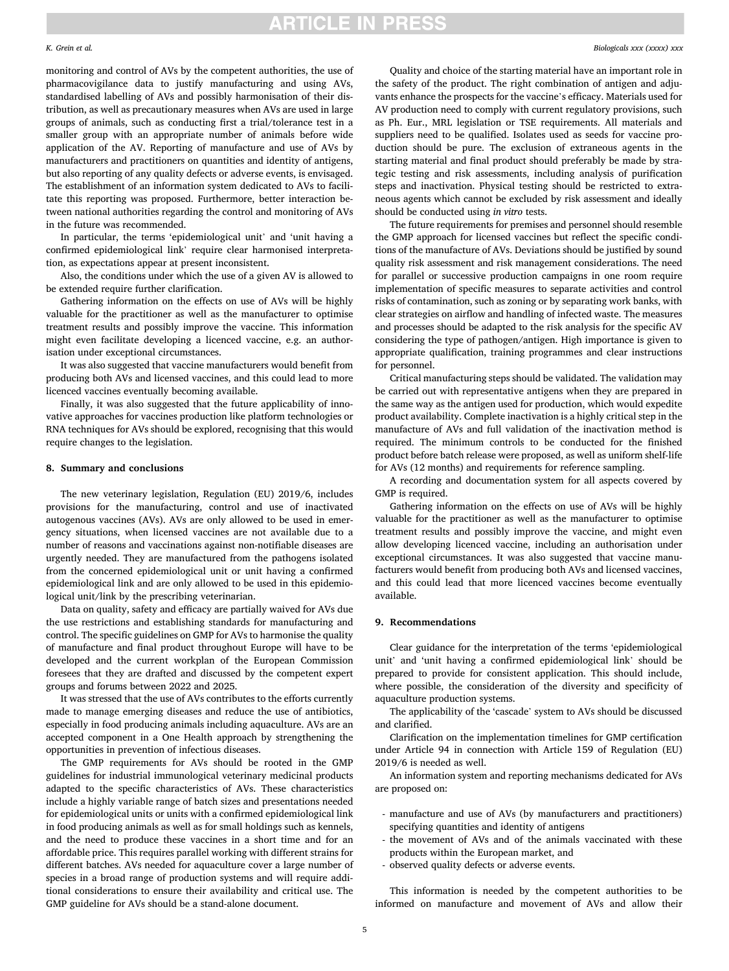#### *K. Grein et al.*

monitoring and control of AVs by the competent authorities, the use of pharmacovigilance data to justify manufacturing and using AVs, standardised labelling of AVs and possibly harmonisation of their distribution, as well as precautionary measures when AVs are used in large groups of animals, such as conducting first a trial/tolerance test in a smaller group with an appropriate number of animals before wide application of the AV. Reporting of manufacture and use of AVs by manufacturers and practitioners on quantities and identity of antigens, but also reporting of any quality defects or adverse events, is envisaged. The establishment of an information system dedicated to AVs to facilitate this reporting was proposed. Furthermore, better interaction between national authorities regarding the control and monitoring of AVs in the future was recommended.

In particular, the terms 'epidemiological unit' and 'unit having a confirmed epidemiological link' require clear harmonised interpretation, as expectations appear at present inconsistent.

Also, the conditions under which the use of a given AV is allowed to be extended require further clarification.

Gathering information on the effects on use of AVs will be highly valuable for the practitioner as well as the manufacturer to optimise treatment results and possibly improve the vaccine. This information might even facilitate developing a licenced vaccine, e.g. an authorisation under exceptional circumstances.

It was also suggested that vaccine manufacturers would benefit from producing both AVs and licensed vaccines, and this could lead to more licenced vaccines eventually becoming available.

Finally, it was also suggested that the future applicability of innovative approaches for vaccines production like platform technologies or RNA techniques for AVs should be explored, recognising that this would require changes to the legislation.

#### **8. Summary and conclusions**

The new veterinary legislation, Regulation (EU) 2019/6, includes provisions for the manufacturing, control and use of inactivated autogenous vaccines (AVs). AVs are only allowed to be used in emergency situations, when licensed vaccines are not available due to a number of reasons and vaccinations against non-notifiable diseases are urgently needed. They are manufactured from the pathogens isolated from the concerned epidemiological unit or unit having a confirmed epidemiological link and are only allowed to be used in this epidemiological unit/link by the prescribing veterinarian.

Data on quality, safety and efficacy are partially waived for AVs due the use restrictions and establishing standards for manufacturing and control. The specific guidelines on GMP for AVs to harmonise the quality of manufacture and final product throughout Europe will have to be developed and the current workplan of the European Commission foresees that they are drafted and discussed by the competent expert groups and forums between 2022 and 2025.

It was stressed that the use of AVs contributes to the efforts currently made to manage emerging diseases and reduce the use of antibiotics, especially in food producing animals including aquaculture. AVs are an accepted component in a One Health approach by strengthening the opportunities in prevention of infectious diseases.

The GMP requirements for AVs should be rooted in the GMP guidelines for industrial immunological veterinary medicinal products adapted to the specific characteristics of AVs. These characteristics include a highly variable range of batch sizes and presentations needed for epidemiological units or units with a confirmed epidemiological link in food producing animals as well as for small holdings such as kennels, and the need to produce these vaccines in a short time and for an affordable price. This requires parallel working with different strains for different batches. AVs needed for aquaculture cover a large number of species in a broad range of production systems and will require additional considerations to ensure their availability and critical use. The GMP guideline for AVs should be a stand-alone document.

Quality and choice of the starting material have an important role in the safety of the product. The right combination of antigen and adjuvants enhance the prospects for the vaccine's efficacy. Materials used for AV production need to comply with current regulatory provisions, such as Ph. Eur., MRL legislation or TSE requirements. All materials and suppliers need to be qualified. Isolates used as seeds for vaccine production should be pure. The exclusion of extraneous agents in the starting material and final product should preferably be made by strategic testing and risk assessments, including analysis of purification steps and inactivation. Physical testing should be restricted to extraneous agents which cannot be excluded by risk assessment and ideally should be conducted using *in vitro* tests.

The future requirements for premises and personnel should resemble the GMP approach for licensed vaccines but reflect the specific conditions of the manufacture of AVs. Deviations should be justified by sound quality risk assessment and risk management considerations. The need for parallel or successive production campaigns in one room require implementation of specific measures to separate activities and control risks of contamination, such as zoning or by separating work banks, with clear strategies on airflow and handling of infected waste. The measures and processes should be adapted to the risk analysis for the specific AV considering the type of pathogen/antigen. High importance is given to appropriate qualification, training programmes and clear instructions for personnel.

Critical manufacturing steps should be validated. The validation may be carried out with representative antigens when they are prepared in the same way as the antigen used for production, which would expedite product availability. Complete inactivation is a highly critical step in the manufacture of AVs and full validation of the inactivation method is required. The minimum controls to be conducted for the finished product before batch release were proposed, as well as uniform shelf-life for AVs (12 months) and requirements for reference sampling.

A recording and documentation system for all aspects covered by GMP is required.

Gathering information on the effects on use of AVs will be highly valuable for the practitioner as well as the manufacturer to optimise treatment results and possibly improve the vaccine, and might even allow developing licenced vaccine, including an authorisation under exceptional circumstances. It was also suggested that vaccine manufacturers would benefit from producing both AVs and licensed vaccines, and this could lead that more licenced vaccines become eventually available.

### **9. Recommendations**

Clear guidance for the interpretation of the terms 'epidemiological unit' and 'unit having a confirmed epidemiological link' should be prepared to provide for consistent application. This should include, where possible, the consideration of the diversity and specificity of aquaculture production systems.

The applicability of the 'cascade' system to AVs should be discussed and clarified.

Clarification on the implementation timelines for GMP certification under Article 94 in connection with Article 159 of Regulation (EU) 2019/6 is needed as well.

An information system and reporting mechanisms dedicated for AVs are proposed on:

- manufacture and use of AVs (by manufacturers and practitioners) specifying quantities and identity of antigens
- the movement of AVs and of the animals vaccinated with these products within the European market, and
- observed quality defects or adverse events.

This information is needed by the competent authorities to be informed on manufacture and movement of AVs and allow their